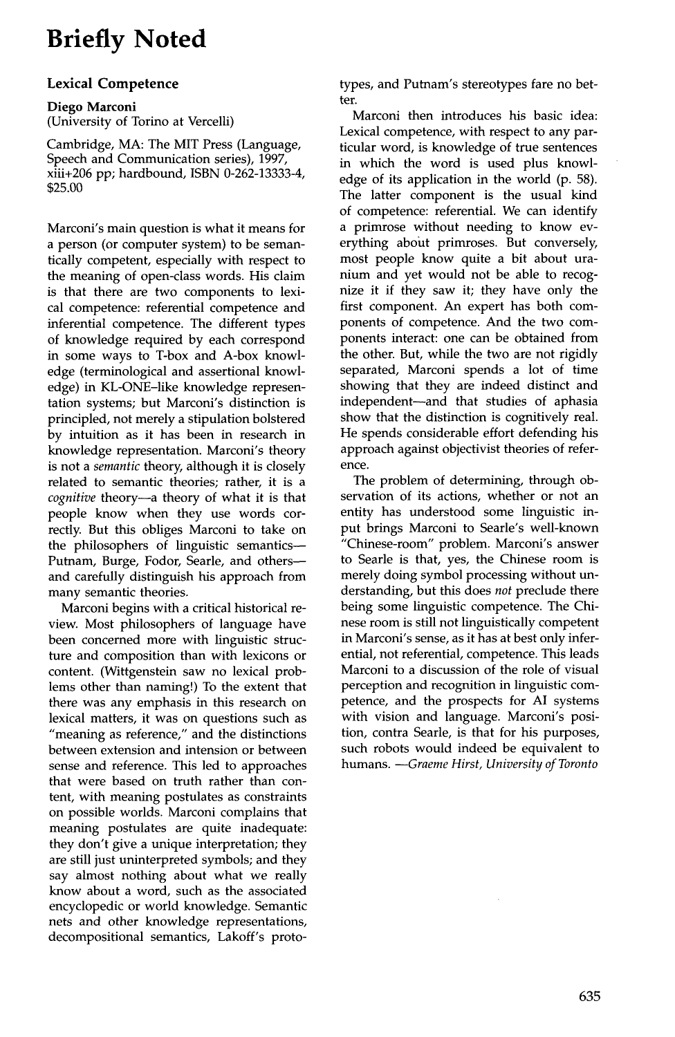# **Briefly Noted**

## **Lexical Competence**

### **Diego Marconi**  (University of Torino at Vercelli)

Cambridge, MA: The MIT Press (Language, Speech and Communication series), 1997, xiii+206 pp; hardbound, ISBN 0-262-13333-4, \$25.00

Marconi's main question is what it means for a person (or computer system) to be semantically competent, especially with respect to the meaning of open-class words. His claim is that there are two components to lexical competence: referential competence and inferential competence. The different types of knowledge required by each correspond in some ways to T-box and A-box knowledge (terminological and assertional knowledge) in KL-ONE-like knowledge representation systems; but Marconi's distinction is principled, not merely a stipulation bolstered by intuition as it has been in research in knowledge representation. Marconi's theory is not a *semantic* theory, although it is closely related to semantic theories; rather, it is a *cognitive* theory--a theory of what it is that people know when they use words correctly. But this obliges Marconi to take on the philosophers of linguistic semantics-- Putnam, Burge, Fodor, Searle, and othersand carefully distinguish his approach from many semantic theories.

Marconi begins with a critical historical review. Most philosophers of language have been concerned more with linguistic structure and composition than with lexicons or content. (Wittgenstein saw no lexical problems other than naming!) To the extent that there was any emphasis in this research on lexical matters, it was on questions such as "meaning as reference," and the distinctions between extension and intension or between sense and reference. This led to approaches that were based on truth rather than content, with meaning postulates as constraints on possible worlds. Marconi complains that meaning postulates are quite inadequate: they don't give a unique interpretation; they are still just uninterpreted symbols; and they say almost nothing about what we really know about a word, such as the associated encyclopedic or world knowledge. Semantic nets and other knowledge representations, decompositional semantics, Lakoff's proto-

types, and Putnam's stereotypes fare no better.

Marconi then introduces his basic idea: Lexical competence, with respect to any particular word, is knowledge of true sentences in which the word is used plus knowledge of its application in the world (p. 58). The latter component is the usual kind of competence: referential. We can identify a primrose without needing to know everything about primroses. But conversely, most people know quite a bit about uranium and yet would not be able to recognize it if they saw it; they have only the first component. An expert has both components of competence. And the two components interact: one can be obtained from the other. But, while the two are not rigidly separated, Marconi spends a lot of time showing that they are indeed distinct and independent--and that studies of aphasia show that the distinction is cognitively real. He spends considerable effort defending his approach against objectivist theories of reference.

The problem of determining, through observation of its actions, whether or not an entity has understood some linguistic input brings Marconi to Searle's well-known "Chinese-room" problem. Marconi's answer to Searle is that, yes, the Chinese room is merely doing symbol processing without understanding, but this does *not* preclude there being some linguistic competence. The Chinese room is still not linguistically competent in Marconi's sense, as it has at best only inferential, not referential, competence. This leads Marconi to a discussion of the role of visual perception and recognition in linguistic competence, and the prospects for AI systems with vision and language. Marconi's position, contra Searle, is that for his purposes, such robots would indeed be equivalent to humans. *--Graeme Hirst, University of Toronto*